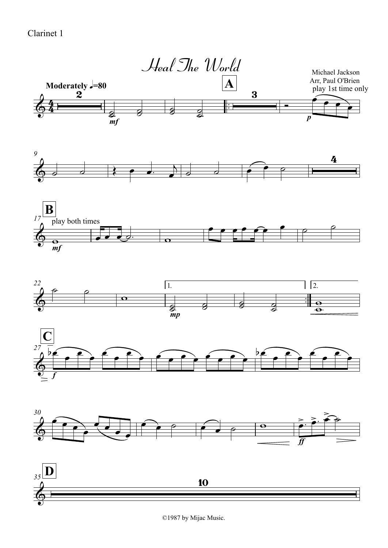## Clarinet 1



©1987 by Mijac Music.